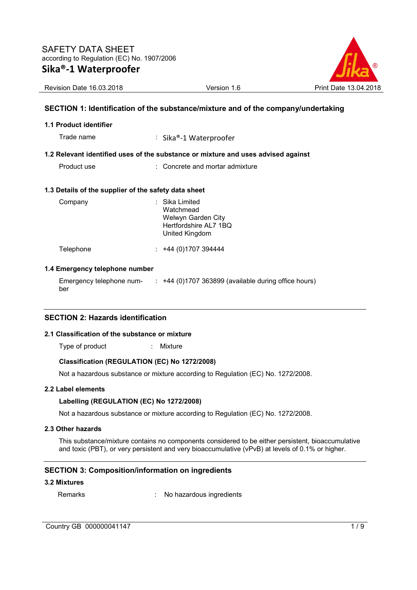

# **SECTION 1: Identification of the substance/mixture and of the company/undertaking**

### **1.1 Product identifier**

Trade name : Sika®-1 Waterproofer

### **1.2 Relevant identified uses of the substance or mixture and uses advised against**

Product use **Example 20** Concrete and mortar admixture

### **1.3 Details of the supplier of the safety data sheet**

| Company   | : Sika Limited<br>Watchmead<br>Welwyn Garden City<br>Hertfordshire AL7 1BQ<br>United Kingdom |
|-----------|----------------------------------------------------------------------------------------------|
| Telephone | +44 (0) 1707 394444                                                                          |

### **1.4 Emergency telephone number**

Emergency telephone number :  $+44$  (0)1707 363899 (available during office hours)

# **SECTION 2: Hazards identification**

### **2.1 Classification of the substance or mixture**

Type of product : Mixture

### **Classification (REGULATION (EC) No 1272/2008)**

Not a hazardous substance or mixture according to Regulation (EC) No. 1272/2008.

### **2.2 Label elements**

### **Labelling (REGULATION (EC) No 1272/2008)**

Not a hazardous substance or mixture according to Regulation (EC) No. 1272/2008.

# **2.3 Other hazards**

This substance/mixture contains no components considered to be either persistent, bioaccumulative and toxic (PBT), or very persistent and very bioaccumulative (vPvB) at levels of 0.1% or higher.

# **SECTION 3: Composition/information on ingredients**

### **3.2 Mixtures**

| Remarks | No hazardous ingredients |
|---------|--------------------------|
|---------|--------------------------|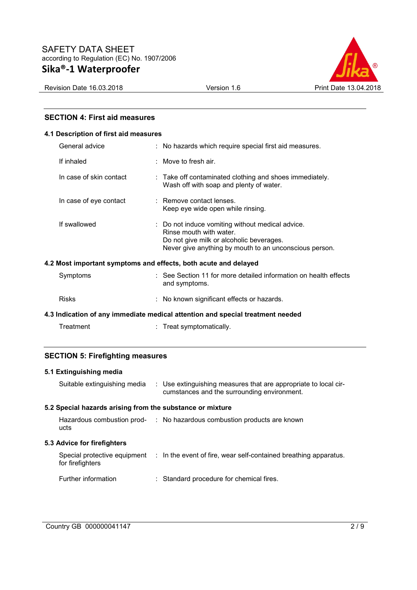

# **SECTION 4: First aid measures**

### **4.1 Description of first aid measures**

| General advice          | : No hazards which require special first aid measures.                                                                                                                            |
|-------------------------|-----------------------------------------------------------------------------------------------------------------------------------------------------------------------------------|
| If inhaled              | $\therefore$ Move to fresh air.                                                                                                                                                   |
| In case of skin contact | : Take off contaminated clothing and shoes immediately.<br>Wash off with soap and plenty of water.                                                                                |
| In case of eye contact  | : Remove contact lenses.<br>Keep eye wide open while rinsing.                                                                                                                     |
| If swallowed            | : Do not induce vomiting without medical advice.<br>Rinse mouth with water.<br>Do not give milk or alcoholic beverages.<br>Never give anything by mouth to an unconscious person. |
|                         | 4.2 Most important symptoms and effects, both acute and delayed                                                                                                                   |
| Symptoms                | : See Section 11 for more detailed information on health effects<br>and symptoms.                                                                                                 |
| <b>Risks</b>            | : No known significant effects or hazards.                                                                                                                                        |

**4.3 Indication of any immediate medical attention and special treatment needed** 

Treatment : Treat symptomatically.

# **SECTION 5: Firefighting measures**

# **5.1 Extinguishing media**  Suitable extinguishing media : Use extinguishing measures that are appropriate to local circumstances and the surrounding environment. **5.2 Special hazards arising from the substance or mixture**  Hazardous combustion prod-: No hazardous combustion products are known ucts **5.3 Advice for firefighters**  Special protective equipment : In the event of fire, wear self-contained breathing apparatus. for firefighters Further information : Standard procedure for chemical fires.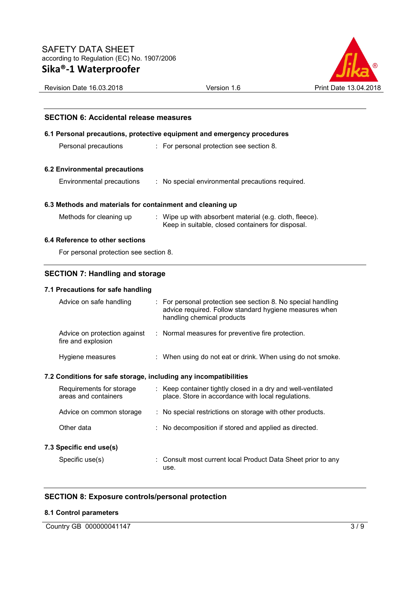

# **SECTION 6: Accidental release measures**

### **6.1 Personal precautions, protective equipment and emergency procedures**

| Personal precautions |  |  |  | For personal protection see section 8. |
|----------------------|--|--|--|----------------------------------------|
|----------------------|--|--|--|----------------------------------------|

#### **6.2 Environmental precautions**

Environmental precautions : No special environmental precautions required.

### **6.3 Methods and materials for containment and cleaning up**

Methods for cleaning up : Wipe up with absorbent material (e.g. cloth, fleece). Keep in suitable, closed containers for disposal.

### **6.4 Reference to other sections**

For personal protection see section 8.

# **SECTION 7: Handling and storage**

### **7.1 Precautions for safe handling**

| Advice on safe handling                                          | : For personal protection see section 8. No special handling<br>advice required. Follow standard hygiene measures when<br>handling chemical products |
|------------------------------------------------------------------|------------------------------------------------------------------------------------------------------------------------------------------------------|
| Advice on protection against<br>fire and explosion               | : Normal measures for preventive fire protection.                                                                                                    |
| Hygiene measures                                                 | : When using do not eat or drink. When using do not smoke.                                                                                           |
| 7.2 Conditions for safe storage, including any incompatibilities |                                                                                                                                                      |
| Requirements for storage<br>areas and containers                 | : Keep container tightly closed in a dry and well-ventilated<br>place. Store in accordance with local regulations.                                   |
| Advice on common storage                                         | : No special restrictions on storage with other products.                                                                                            |
| Other data                                                       | : No decomposition if stored and applied as directed.                                                                                                |
| 7.3 Specific end use(s)                                          |                                                                                                                                                      |
| Specific use(s)                                                  | : Consult most current local Product Data Sheet prior to any<br>use.                                                                                 |

# **SECTION 8: Exposure controls/personal protection**

#### **8.1 Control parameters**

Country GB 000000041147 3/9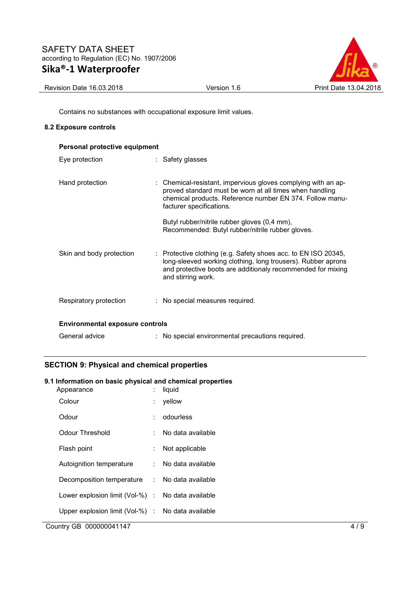# SAFETY DATA SHEET according to Regulation (EC) No. 1907/2006 **Sika®-1 Waterproofer**



Revision Date 16.03.2018 **Version 1.6** Print Date 13.04.2018

Contains no substances with occupational exposure limit values.

### **8.2 Exposure controls**

| Personal protective equipment          |                                                                                                                                                                                                                     |
|----------------------------------------|---------------------------------------------------------------------------------------------------------------------------------------------------------------------------------------------------------------------|
| Eye protection                         | : Safety glasses                                                                                                                                                                                                    |
| Hand protection                        | : Chemical-resistant, impervious gloves complying with an ap-<br>proved standard must be worn at all times when handling<br>chemical products. Reference number EN 374. Follow manu-<br>facturer specifications.    |
|                                        | Butyl rubber/nitrile rubber gloves (0,4 mm),<br>Recommended: Butyl rubber/nitrile rubber gloves.                                                                                                                    |
| Skin and body protection               | : Protective clothing (e.g. Safety shoes acc. to EN ISO 20345,<br>long-sleeved working clothing, long trousers). Rubber aprons<br>and protective boots are additionaly recommended for mixing<br>and stirring work. |
| Respiratory protection                 | : No special measures required.                                                                                                                                                                                     |
| <b>Environmental exposure controls</b> |                                                                                                                                                                                                                     |
| General advice                         | : No special environmental precautions required.                                                                                                                                                                    |

# **SECTION 9: Physical and chemical properties**

# **9.1 Information on basic physical and chemical properties**

|    | liquid                                            |
|----|---------------------------------------------------|
|    | yellow                                            |
|    | odourless                                         |
|    | No data available                                 |
| t. | Not applicable                                    |
|    | No data available                                 |
|    | Decomposition temperature : No data available     |
|    | Lower explosion limit (Vol-%) : No data available |
|    | Upper explosion limit (Vol-%) : No data available |
|    |                                                   |

Country GB 000000041147 4 / 9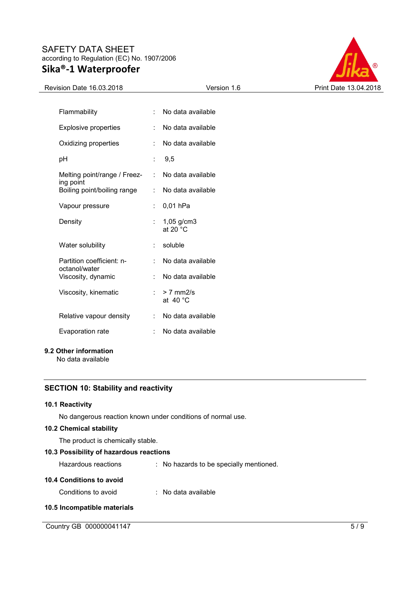# SAFETY DATA SHEET according to Regulation (EC) No. 1907/2006 **Sika®-1 Waterproofer**



| <b>Revision Date 16.03.2018</b> |  |
|---------------------------------|--|
|                                 |  |

| Flammability                               | t in | No data available                    |
|--------------------------------------------|------|--------------------------------------|
| <b>Explosive properties</b>                | t.   | No data available                    |
| Oxidizing properties                       | t.   | No data available                    |
| рH                                         |      | : 9.5                                |
| Melting point/range / Freez-               | t.   | No data available                    |
| ing point<br>Boiling point/boiling range   | t.   | No data available                    |
| Vapour pressure                            |      | 0,01 hPa                             |
| Density                                    |      | $1,05$ g/cm3<br>at 20 $°C$           |
| Water solubility                           |      | $:$ soluble                          |
| Partition coefficient: n-<br>octanol/water | t.   | No data available                    |
| Viscosity, dynamic                         | t.   | No data available                    |
| Viscosity, kinematic                       |      | $> 7$ mm $2/s$<br>at 40 $^{\circ}$ C |
| Relative vapour density                    |      | No data available                    |
| <b>Evaporation rate</b>                    | t.   | No data available                    |

# **9.2 Other information**

No data available

# **SECTION 10: Stability and reactivity**

### **10.1 Reactivity**

No dangerous reaction known under conditions of normal use.

# **10.2 Chemical stability**

The product is chemically stable.

# **10.3 Possibility of hazardous reactions**

Hazardous reactions : No hazards to be specially mentioned.

# **10.4 Conditions to avoid**

Conditions to avoid : No data available

# **10.5 Incompatible materials**

Country GB 000000041147 5/9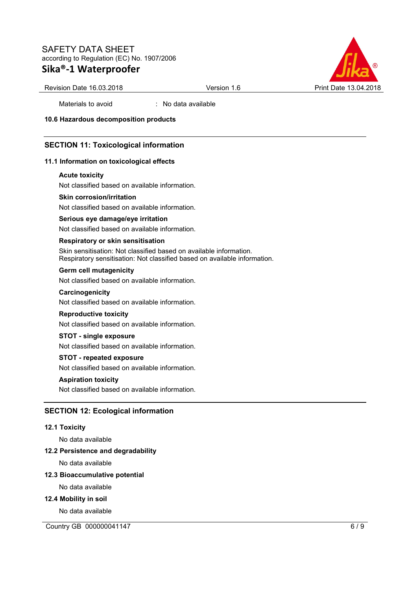# SAFETY DATA SHEET according to Regulation (EC) No. 1907/2006 **Sika®-1 Waterproofer**



Revision Date 16.03.2018 **Version 1.6** Print Date 13.04.2018

Materials to avoid : No data available

**10.6 Hazardous decomposition products** 

# **SECTION 11: Toxicological information**

### **11.1 Information on toxicological effects**

#### **Acute toxicity**

Not classified based on available information.

### **Skin corrosion/irritation**

Not classified based on available information.

### **Serious eye damage/eye irritation**

Not classified based on available information.

### **Respiratory or skin sensitisation**

Skin sensitisation: Not classified based on available information. Respiratory sensitisation: Not classified based on available information.

### **Germ cell mutagenicity**

Not classified based on available information.

### **Carcinogenicity**

Not classified based on available information.

### **Reproductive toxicity**

Not classified based on available information.

#### **STOT - single exposure**

Not classified based on available information.

### **STOT - repeated exposure**

Not classified based on available information.

### **Aspiration toxicity**

Not classified based on available information.

# **SECTION 12: Ecological information**

### **12.1 Toxicity**

No data available

### **12.2 Persistence and degradability**

No data available

### **12.3 Bioaccumulative potential**

No data available

### **12.4 Mobility in soil**

No data available

Country GB 000000041147 6 / 9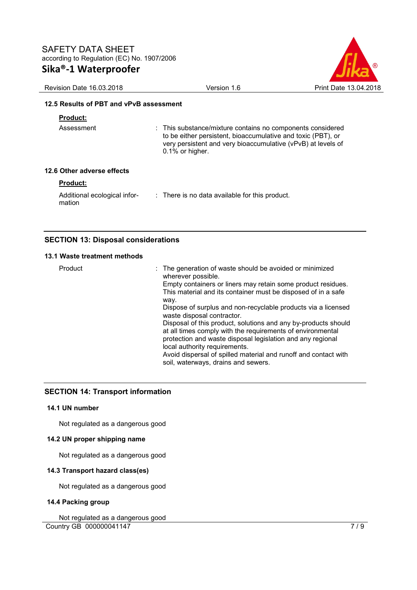

| Revision Date 16.03.2018                | Version 1.6                                                                                                                                                                                                      | Print Date 13.04.2018 |
|-----------------------------------------|------------------------------------------------------------------------------------------------------------------------------------------------------------------------------------------------------------------|-----------------------|
| 12.5 Results of PBT and vPvB assessment |                                                                                                                                                                                                                  |                       |
| <b>Product:</b>                         |                                                                                                                                                                                                                  |                       |
| Assessment                              | : This substance/mixture contains no components considered<br>to be either persistent, bioaccumulative and toxic (PBT), or<br>very persistent and very bioaccumulative (vPvB) at levels of<br>$0.1\%$ or higher. |                       |
| 12.6 Other adverse effects              |                                                                                                                                                                                                                  |                       |
| <b>Product:</b>                         |                                                                                                                                                                                                                  |                       |
| Additional ecological infor-<br>mation  | : There is no data available for this product.                                                                                                                                                                   |                       |

# **SECTION 13: Disposal considerations**

# **13.1 Waste treatment methods**

| Product | : The generation of waste should be avoided or minimized<br>wherever possible.                                                                                                                                              |
|---------|-----------------------------------------------------------------------------------------------------------------------------------------------------------------------------------------------------------------------------|
|         | Empty containers or liners may retain some product residues.<br>This material and its container must be disposed of in a safe<br>way.                                                                                       |
|         | Dispose of surplus and non-recyclable products via a licensed<br>waste disposal contractor.                                                                                                                                 |
|         | Disposal of this product, solutions and any by-products should<br>at all times comply with the requirements of environmental<br>protection and waste disposal legislation and any regional<br>local authority requirements. |
|         | Avoid dispersal of spilled material and runoff and contact with<br>soil, waterways, drains and sewers.                                                                                                                      |

# **SECTION 14: Transport information**

# **14.1 UN number**

Not regulated as a dangerous good

# **14.2 UN proper shipping name**

Not regulated as a dangerous good

# **14.3 Transport hazard class(es)**

Not regulated as a dangerous good

# **14.4 Packing group**

Country GB 000000041147 7/9 Not regulated as a dangerous good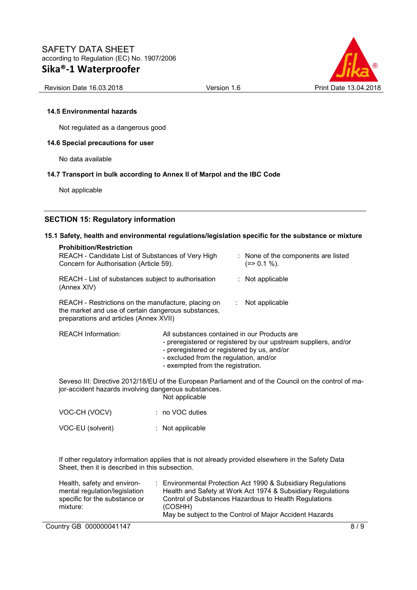

### **14.5 Environmental hazards**

Not regulated as a dangerous good

### **14.6 Special precautions for user**

No data available

# **14.7 Transport in bulk according to Annex II of Marpol and the IBC Code**

Not applicable

# **SECTION 15: Regulatory information**

### **15.1 Safety, health and environmental regulations/legislation specific for the substance or mixture**

| <b>Prohibition/Restriction</b><br>REACH - Candidate List of Substances of Very High<br>Concern for Authorisation (Article 59).                       |                                                                                                                                                                            |  | : None of the components are listed<br>$(=>0.1\%).$             |
|------------------------------------------------------------------------------------------------------------------------------------------------------|----------------------------------------------------------------------------------------------------------------------------------------------------------------------------|--|-----------------------------------------------------------------|
| REACH - List of substances subject to authorisation<br>(Annex XIV)                                                                                   |                                                                                                                                                                            |  | $:$ Not applicable                                              |
| REACH - Restrictions on the manufacture, placing on<br>the market and use of certain dangerous substances,<br>preparations and articles (Annex XVII) |                                                                                                                                                                            |  | Not applicable<br>t.                                            |
|                                                                                                                                                      |                                                                                                                                                                            |  |                                                                 |
| <b>REACH Information:</b>                                                                                                                            | All substances contained in our Products are<br>- preregistered or registered by us, and/or<br>- excluded from the regulation, and/or<br>- exempted from the registration. |  | - preregistered or registered by our upstream suppliers, and/or |

Seveso III: Directive 2012/18/EU of the European Parliament and of the Council on the control of major-accident hazards involving dangerous substances. Not applicable

| VOC-CH (VOCV)    | $: no VOC$ duties  |
|------------------|--------------------|
| VOC-EU (solvent) | $:$ Not applicable |

If other regulatory information applies that is not already provided elsewhere in the Safety Data Sheet, then it is described in this subsection.

| Health, safety and environ-   | Environmental Protection Act 1990 & Subsidiary Regulations  |
|-------------------------------|-------------------------------------------------------------|
| mental regulation/legislation | Health and Safety at Work Act 1974 & Subsidiary Regulations |
| specific for the substance or | Control of Substances Hazardous to Health Regulations       |
| mixture:                      | (COSHH)                                                     |
|                               | May be subject to the Control of Major Accident Hazards     |

Country GB 000000041147 8/9